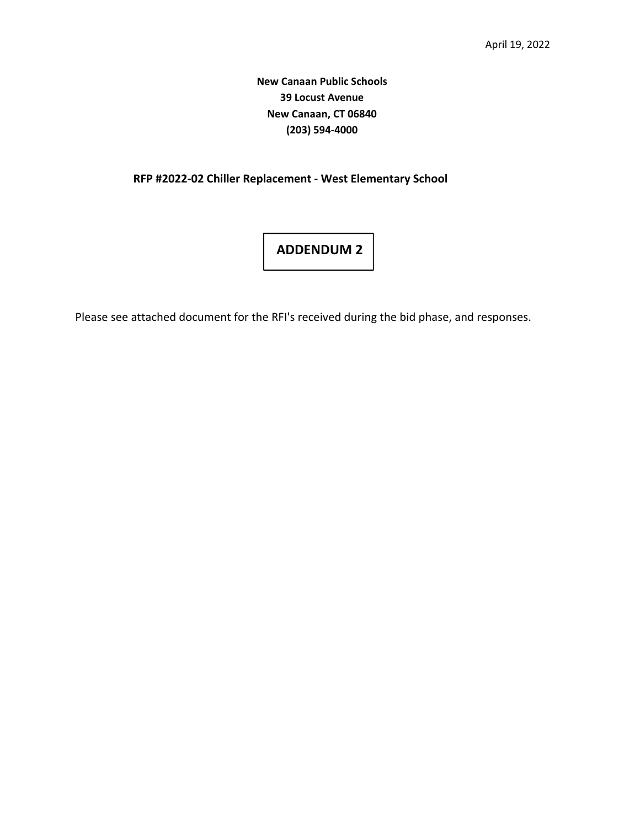## **New Canaan Public Schools 39 Locust Avenue New Canaan, CT 06840 (203) 594‐4000**

## **RFP #2022-02 Chiller Replacement - West Elementary School**

## **ADDENDUM 2**

Please see attached document for the RFI's received during the bid phase, and responses.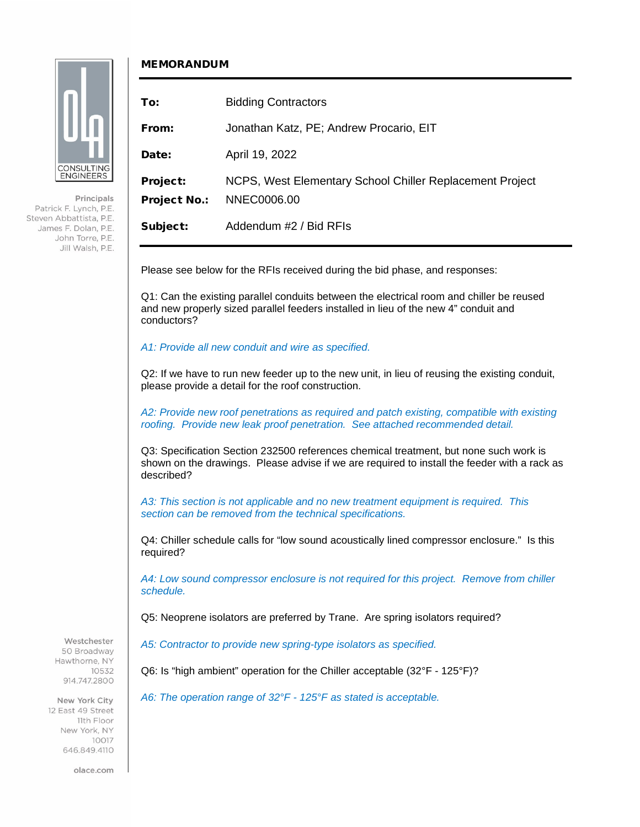

CONSULTING **ENGINEERS** 

Patrick F. Lynch, P.E. Steven Abbattista, P.E. James F. Dolan, P.E. John Torre, P.E. Jill Walsh, P.E.

Principals

## MEMORANDUM

| To:                             | <b>Bidding Contractors</b>                                              |
|---------------------------------|-------------------------------------------------------------------------|
| From:                           | Jonathan Katz, PE; Andrew Procario, EIT                                 |
| Date:                           | April 19, 2022                                                          |
| Project:<br><b>Project No.:</b> | NCPS, West Elementary School Chiller Replacement Project<br>NNEC0006.00 |
| Subject:                        | Addendum #2 / Bid RFIs                                                  |

Please see below for the RFIs received during the bid phase, and responses:

Q1: Can the existing parallel conduits between the electrical room and chiller be reused and new properly sized parallel feeders installed in lieu of the new 4" conduit and conductors?

*A1: Provide all new conduit and wire as specified.*

Q2: If we have to run new feeder up to the new unit, in lieu of reusing the existing conduit, please provide a detail for the roof construction.

*A2: Provide new roof penetrations as required and patch existing, compatible with existing roofing. Provide new leak proof penetration. See attached recommended detail.*

Q3: Specification Section 232500 references chemical treatment, but none such work is shown on the drawings. Please advise if we are required to install the feeder with a rack as described?

*A3: This section is not applicable and no new treatment equipment is required. This section can be removed from the technical specifications.*

Q4: Chiller schedule calls for "low sound acoustically lined compressor enclosure." Is this required?

*A4: Low sound compressor enclosure is not required for this project. Remove from chiller schedule.*

Q5: Neoprene isolators are preferred by Trane. Are spring isolators required?

*A5: Contractor to provide new spring-type isolators as specified.*

Q6: Is "high ambient" operation for the Chiller acceptable (32°F - 125°F)?

*A6: The operation range of 32°F - 125°F as stated is acceptable.*

Westchester 50 Broadway Hawthorne, NY 10532

914.747.2800

New York City 12 East 49 Street 11th Floor New York, NY 10017 646,849,4110

olace.com